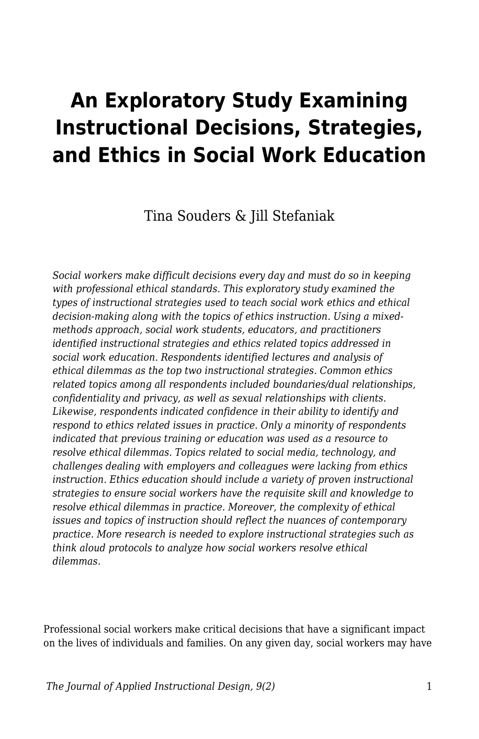# **An Exploratory Study Examining Instructional Decisions, Strategies, and Ethics in Social Work Education**

Tina Souders & Jill Stefaniak

*Social workers make difficult decisions every day and must do so in keeping with professional ethical standards. This exploratory study examined the types of instructional strategies used to teach social work ethics and ethical decision-making along with the topics of ethics instruction. Using a mixedmethods approach, social work students, educators, and practitioners identified instructional strategies and ethics related topics addressed in social work education. Respondents identified lectures and analysis of ethical dilemmas as the top two instructional strategies. Common ethics related topics among all respondents included boundaries/dual relationships, confidentiality and privacy, as well as sexual relationships with clients. Likewise, respondents indicated confidence in their ability to identify and respond to ethics related issues in practice. Only a minority of respondents indicated that previous training or education was used as a resource to resolve ethical dilemmas. Topics related to social media, technology, and challenges dealing with employers and colleagues were lacking from ethics instruction. Ethics education should include a variety of proven instructional strategies to ensure social workers have the requisite skill and knowledge to resolve ethical dilemmas in practice. Moreover, the complexity of ethical issues and topics of instruction should reflect the nuances of contemporary practice. More research is needed to explore instructional strategies such as think aloud protocols to analyze how social workers resolve ethical dilemmas.*

Professional social workers make critical decisions that have a significant impact on the lives of individuals and families. On any given day, social workers may have

*The Journal of Applied Instructional Design, 9(2)* 1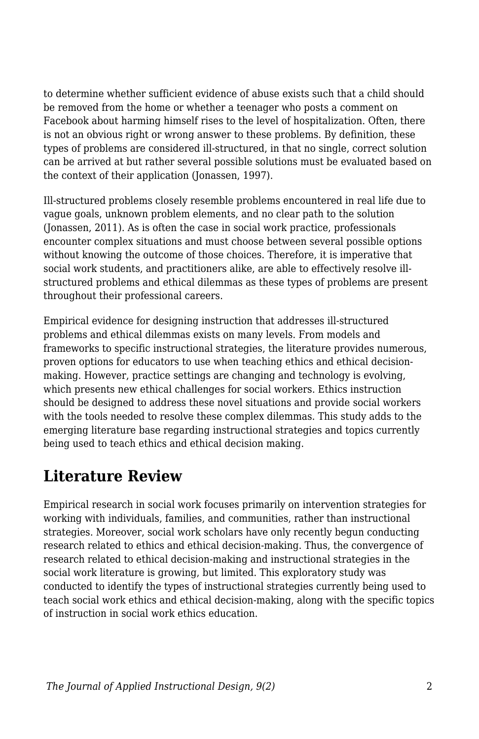to determine whether sufficient evidence of abuse exists such that a child should be removed from the home or whether a teenager who posts a comment on Facebook about harming himself rises to the level of hospitalization. Often, there is not an obvious right or wrong answer to these problems. By definition, these types of problems are considered ill-structured, in that no single, correct solution can be arrived at but rather several possible solutions must be evaluated based on the context of their application (Jonassen, 1997).

Ill-structured problems closely resemble problems encountered in real life due to vague goals, unknown problem elements, and no clear path to the solution (Jonassen, 2011). As is often the case in social work practice, professionals encounter complex situations and must choose between several possible options without knowing the outcome of those choices. Therefore, it is imperative that social work students, and practitioners alike, are able to effectively resolve illstructured problems and ethical dilemmas as these types of problems are present throughout their professional careers.

Empirical evidence for designing instruction that addresses ill-structured problems and ethical dilemmas exists on many levels. From models and frameworks to specific instructional strategies, the literature provides numerous, proven options for educators to use when teaching ethics and ethical decisionmaking. However, practice settings are changing and technology is evolving, which presents new ethical challenges for social workers. Ethics instruction should be designed to address these novel situations and provide social workers with the tools needed to resolve these complex dilemmas. This study adds to the emerging literature base regarding instructional strategies and topics currently being used to teach ethics and ethical decision making.

# **Literature Review**

Empirical research in social work focuses primarily on intervention strategies for working with individuals, families, and communities, rather than instructional strategies. Moreover, social work scholars have only recently begun conducting research related to ethics and ethical decision-making. Thus, the convergence of research related to ethical decision-making and instructional strategies in the social work literature is growing, but limited. This exploratory study was conducted to identify the types of instructional strategies currently being used to teach social work ethics and ethical decision-making, along with the specific topics of instruction in social work ethics education.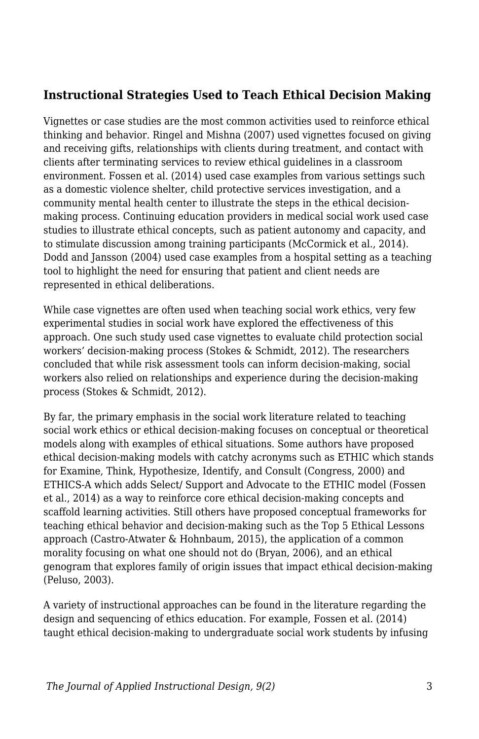### **Instructional Strategies Used to Teach Ethical Decision Making**

Vignettes or case studies are the most common activities used to reinforce ethical thinking and behavior. Ringel and Mishna (2007) used vignettes focused on giving and receiving gifts, relationships with clients during treatment, and contact with clients after terminating services to review ethical guidelines in a classroom environment. Fossen et al. (2014) used case examples from various settings such as a domestic violence shelter, child protective services investigation, and a community mental health center to illustrate the steps in the ethical decisionmaking process. Continuing education providers in medical social work used case studies to illustrate ethical concepts, such as patient autonomy and capacity, and to stimulate discussion among training participants (McCormick et al., 2014). Dodd and Jansson (2004) used case examples from a hospital setting as a teaching tool to highlight the need for ensuring that patient and client needs are represented in ethical deliberations.

While case vignettes are often used when teaching social work ethics, very few experimental studies in social work have explored the effectiveness of this approach. One such study used case vignettes to evaluate child protection social workers' decision-making process (Stokes & Schmidt, 2012). The researchers concluded that while risk assessment tools can inform decision-making, social workers also relied on relationships and experience during the decision-making process (Stokes & Schmidt, 2012).

By far, the primary emphasis in the social work literature related to teaching social work ethics or ethical decision-making focuses on conceptual or theoretical models along with examples of ethical situations. Some authors have proposed ethical decision-making models with catchy acronyms such as ETHIC which stands for Examine, Think, Hypothesize, Identify, and Consult (Congress, 2000) and ETHICS-A which adds Select/ Support and Advocate to the ETHIC model (Fossen et al., 2014) as a way to reinforce core ethical decision-making concepts and scaffold learning activities. Still others have proposed conceptual frameworks for teaching ethical behavior and decision-making such as the Top 5 Ethical Lessons approach (Castro-Atwater & Hohnbaum, 2015), the application of a common morality focusing on what one should not do (Bryan, 2006), and an ethical genogram that explores family of origin issues that impact ethical decision-making (Peluso, 2003).

A variety of instructional approaches can be found in the literature regarding the design and sequencing of ethics education. For example, Fossen et al. (2014) taught ethical decision-making to undergraduate social work students by infusing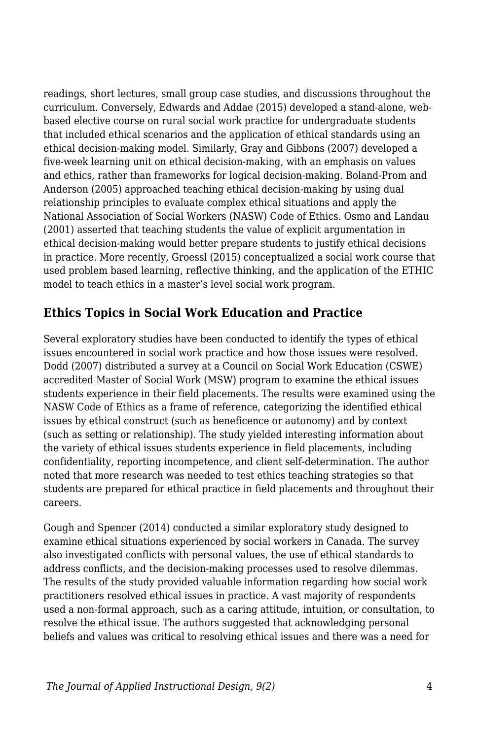readings, short lectures, small group case studies, and discussions throughout the curriculum. Conversely, Edwards and Addae (2015) developed a stand-alone, webbased elective course on rural social work practice for undergraduate students that included ethical scenarios and the application of ethical standards using an ethical decision-making model. Similarly, Gray and Gibbons (2007) developed a five-week learning unit on ethical decision-making, with an emphasis on values and ethics, rather than frameworks for logical decision-making. Boland-Prom and Anderson (2005) approached teaching ethical decision-making by using dual relationship principles to evaluate complex ethical situations and apply the National Association of Social Workers (NASW) Code of Ethics. Osmo and Landau (2001) asserted that teaching students the value of explicit argumentation in ethical decision-making would better prepare students to justify ethical decisions in practice. More recently, Groessl (2015) conceptualized a social work course that used problem based learning, reflective thinking, and the application of the ETHIC model to teach ethics in a master's level social work program.

### **Ethics Topics in Social Work Education and Practice**

Several exploratory studies have been conducted to identify the types of ethical issues encountered in social work practice and how those issues were resolved. Dodd (2007) distributed a survey at a Council on Social Work Education (CSWE) accredited Master of Social Work (MSW) program to examine the ethical issues students experience in their field placements. The results were examined using the NASW Code of Ethics as a frame of reference, categorizing the identified ethical issues by ethical construct (such as beneficence or autonomy) and by context (such as setting or relationship). The study yielded interesting information about the variety of ethical issues students experience in field placements, including confidentiality, reporting incompetence, and client self-determination. The author noted that more research was needed to test ethics teaching strategies so that students are prepared for ethical practice in field placements and throughout their careers.

Gough and Spencer (2014) conducted a similar exploratory study designed to examine ethical situations experienced by social workers in Canada. The survey also investigated conflicts with personal values, the use of ethical standards to address conflicts, and the decision-making processes used to resolve dilemmas. The results of the study provided valuable information regarding how social work practitioners resolved ethical issues in practice. A vast majority of respondents used a non-formal approach, such as a caring attitude, intuition, or consultation, to resolve the ethical issue. The authors suggested that acknowledging personal beliefs and values was critical to resolving ethical issues and there was a need for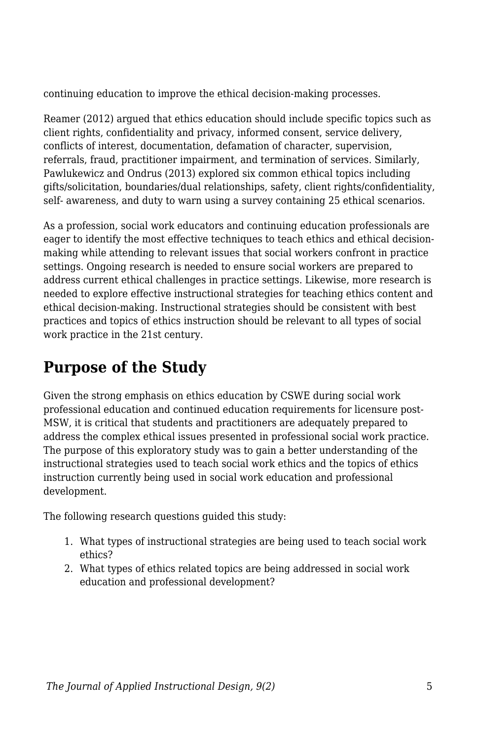continuing education to improve the ethical decision-making processes.

Reamer (2012) argued that ethics education should include specific topics such as client rights, confidentiality and privacy, informed consent, service delivery, conflicts of interest, documentation, defamation of character, supervision, referrals, fraud, practitioner impairment, and termination of services. Similarly, Pawlukewicz and Ondrus (2013) explored six common ethical topics including gifts/solicitation, boundaries/dual relationships, safety, client rights/confidentiality, self- awareness, and duty to warn using a survey containing 25 ethical scenarios.

As a profession, social work educators and continuing education professionals are eager to identify the most effective techniques to teach ethics and ethical decisionmaking while attending to relevant issues that social workers confront in practice settings. Ongoing research is needed to ensure social workers are prepared to address current ethical challenges in practice settings. Likewise, more research is needed to explore effective instructional strategies for teaching ethics content and ethical decision-making. Instructional strategies should be consistent with best practices and topics of ethics instruction should be relevant to all types of social work practice in the 21st century.

# **Purpose of the Study**

Given the strong emphasis on ethics education by CSWE during social work professional education and continued education requirements for licensure post-MSW, it is critical that students and practitioners are adequately prepared to address the complex ethical issues presented in professional social work practice. The purpose of this exploratory study was to gain a better understanding of the instructional strategies used to teach social work ethics and the topics of ethics instruction currently being used in social work education and professional development.

The following research questions guided this study:

- 1. What types of instructional strategies are being used to teach social work ethics?
- 2. What types of ethics related topics are being addressed in social work education and professional development?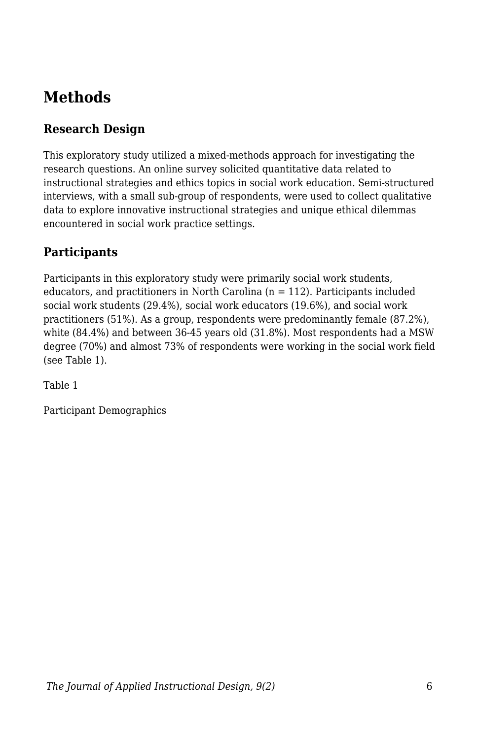# **Methods**

### **Research Design**

This exploratory study utilized a mixed-methods approach for investigating the research questions. An online survey solicited quantitative data related to instructional strategies and ethics topics in social work education. Semi-structured interviews, with a small sub-group of respondents, were used to collect qualitative data to explore innovative instructional strategies and unique ethical dilemmas encountered in social work practice settings.

### **Participants**

Participants in this exploratory study were primarily social work students, educators, and practitioners in North Carolina  $(n = 112)$ . Participants included social work students (29.4%), social work educators (19.6%), and social work practitioners (51%). As a group, respondents were predominantly female (87.2%), white (84.4%) and between 36-45 years old (31.8%). Most respondents had a MSW degree (70%) and almost 73% of respondents were working in the social work field (see Table 1).

Table 1

Participant Demographics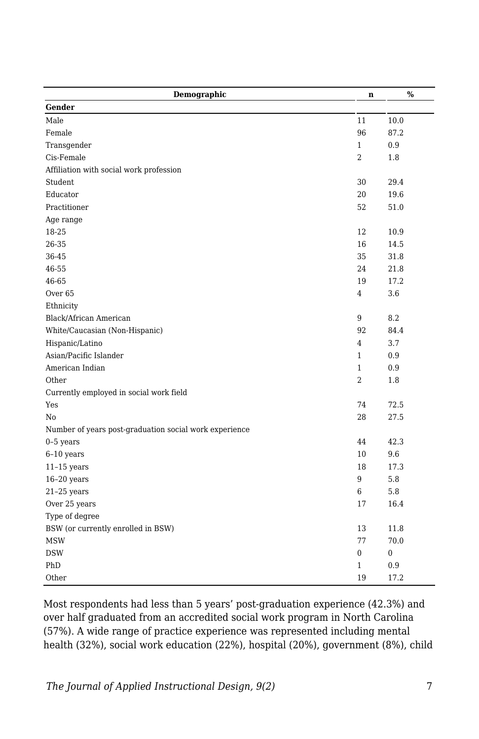| Demographic                                            | n              | $\%$ |
|--------------------------------------------------------|----------------|------|
| Gender                                                 |                |      |
| Male                                                   | 11             | 10.0 |
| Female                                                 | 96             | 87.2 |
| Transgender                                            | $\mathbf{1}$   | 0.9  |
| Cis-Female                                             | $\overline{2}$ | 1.8  |
| Affiliation with social work profession                |                |      |
| Student                                                | 30             | 29.4 |
| Educator                                               | 20             | 19.6 |
| Practitioner                                           | 52             | 51.0 |
| Age range                                              |                |      |
| 18-25                                                  | 12             | 10.9 |
| 26-35                                                  | 16             | 14.5 |
| 36-45                                                  | 35             | 31.8 |
| 46-55                                                  | 24             | 21.8 |
| 46-65                                                  | 19             | 17.2 |
| Over <sub>65</sub>                                     | 4              | 3.6  |
| Ethnicity                                              |                |      |
| Black/African American                                 | 9              | 8.2  |
| White/Caucasian (Non-Hispanic)                         | 92             | 84.4 |
| Hispanic/Latino                                        | 4              | 3.7  |
| Asian/Pacific Islander                                 | $\mathbf{1}$   | 0.9  |
| American Indian                                        | $\mathbf{1}$   | 0.9  |
| Other                                                  | $\overline{2}$ | 1.8  |
| Currently employed in social work field                |                |      |
| Yes                                                    | 74             | 72.5 |
| No                                                     | 28             | 27.5 |
| Number of years post-graduation social work experience |                |      |
| $0-5$ years                                            | 44             | 42.3 |
| $6-10$ years                                           | 10             | 9.6  |
| $11-15$ years                                          | 18             | 17.3 |
| $16-20$ years                                          | 9              | 5.8  |
| $21-25$ years                                          | 6              | 5.8  |
| Over 25 years                                          | 17             | 16.4 |
| Type of degree                                         |                |      |
| BSW (or currently enrolled in BSW)                     | 13             | 11.8 |
| <b>MSW</b>                                             | 77             | 70.0 |
| <b>DSW</b>                                             | 0              | 0    |
| PhD                                                    | 1              | 0.9  |
| Other                                                  | 19             | 17.2 |

Most respondents had less than 5 years' post-graduation experience (42.3%) and over half graduated from an accredited social work program in North Carolina (57%). A wide range of practice experience was represented including mental health (32%), social work education (22%), hospital (20%), government (8%), child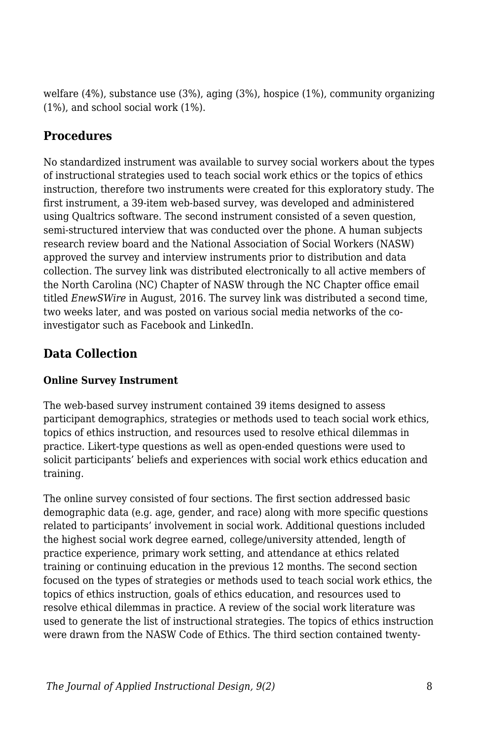welfare (4%), substance use (3%), aging (3%), hospice (1%), community organizing (1%), and school social work (1%).

### **Procedures**

No standardized instrument was available to survey social workers about the types of instructional strategies used to teach social work ethics or the topics of ethics instruction, therefore two instruments were created for this exploratory study. The first instrument, a 39-item web-based survey, was developed and administered using Qualtrics software. The second instrument consisted of a seven question, semi-structured interview that was conducted over the phone. A human subjects research review board and the National Association of Social Workers (NASW) approved the survey and interview instruments prior to distribution and data collection. The survey link was distributed electronically to all active members of the North Carolina (NC) Chapter of NASW through the NC Chapter office email titled *EnewSWire* in August, 2016. The survey link was distributed a second time, two weeks later, and was posted on various social media networks of the coinvestigator such as Facebook and LinkedIn.

## **Data Collection**

### **Online Survey Instrument**

The web-based survey instrument contained 39 items designed to assess participant demographics, strategies or methods used to teach social work ethics, topics of ethics instruction, and resources used to resolve ethical dilemmas in practice. Likert-type questions as well as open-ended questions were used to solicit participants' beliefs and experiences with social work ethics education and training.

The online survey consisted of four sections. The first section addressed basic demographic data (e.g. age, gender, and race) along with more specific questions related to participants' involvement in social work. Additional questions included the highest social work degree earned, college/university attended, length of practice experience, primary work setting, and attendance at ethics related training or continuing education in the previous 12 months. The second section focused on the types of strategies or methods used to teach social work ethics, the topics of ethics instruction, goals of ethics education, and resources used to resolve ethical dilemmas in practice. A review of the social work literature was used to generate the list of instructional strategies. The topics of ethics instruction were drawn from the NASW Code of Ethics. The third section contained twenty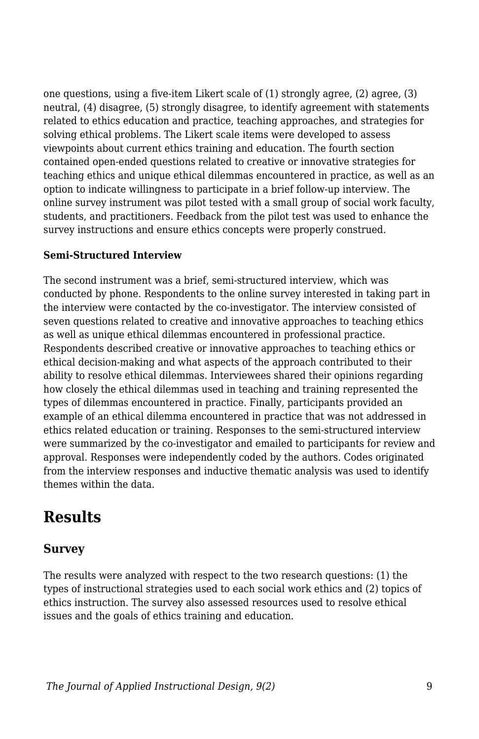one questions, using a five-item Likert scale of (1) strongly agree, (2) agree, (3) neutral, (4) disagree, (5) strongly disagree, to identify agreement with statements related to ethics education and practice, teaching approaches, and strategies for solving ethical problems. The Likert scale items were developed to assess viewpoints about current ethics training and education. The fourth section contained open-ended questions related to creative or innovative strategies for teaching ethics and unique ethical dilemmas encountered in practice, as well as an option to indicate willingness to participate in a brief follow-up interview. The online survey instrument was pilot tested with a small group of social work faculty, students, and practitioners. Feedback from the pilot test was used to enhance the survey instructions and ensure ethics concepts were properly construed.

#### **Semi-Structured Interview**

The second instrument was a brief, semi-structured interview, which was conducted by phone. Respondents to the online survey interested in taking part in the interview were contacted by the co-investigator. The interview consisted of seven questions related to creative and innovative approaches to teaching ethics as well as unique ethical dilemmas encountered in professional practice. Respondents described creative or innovative approaches to teaching ethics or ethical decision-making and what aspects of the approach contributed to their ability to resolve ethical dilemmas. Interviewees shared their opinions regarding how closely the ethical dilemmas used in teaching and training represented the types of dilemmas encountered in practice. Finally, participants provided an example of an ethical dilemma encountered in practice that was not addressed in ethics related education or training. Responses to the semi-structured interview were summarized by the co-investigator and emailed to participants for review and approval. Responses were independently coded by the authors. Codes originated from the interview responses and inductive thematic analysis was used to identify themes within the data.

## **Results**

### **Survey**

The results were analyzed with respect to the two research questions: (1) the types of instructional strategies used to each social work ethics and (2) topics of ethics instruction. The survey also assessed resources used to resolve ethical issues and the goals of ethics training and education.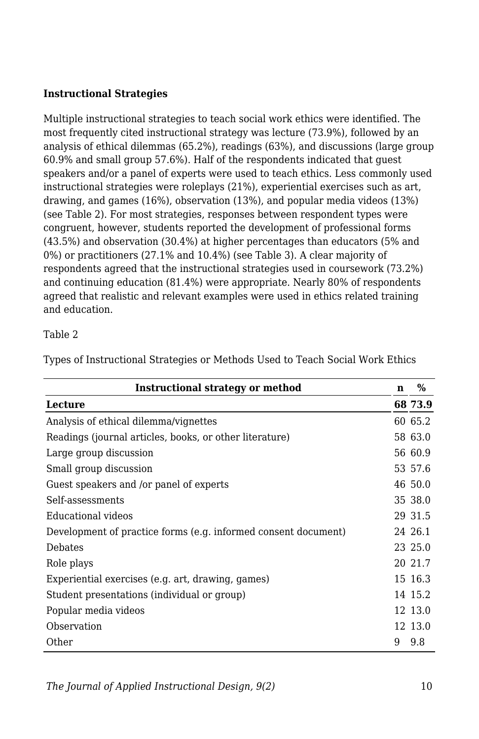### **Instructional Strategies**

Multiple instructional strategies to teach social work ethics were identified. The most frequently cited instructional strategy was lecture (73.9%), followed by an analysis of ethical dilemmas (65.2%), readings (63%), and discussions (large group 60.9% and small group 57.6%). Half of the respondents indicated that guest speakers and/or a panel of experts were used to teach ethics. Less commonly used instructional strategies were roleplays (21%), experiential exercises such as art, drawing, and games (16%), observation (13%), and popular media videos (13%) (see Table 2). For most strategies, responses between respondent types were congruent, however, students reported the development of professional forms (43.5%) and observation (30.4%) at higher percentages than educators (5% and 0%) or practitioners (27.1% and 10.4%) (see Table 3). A clear majority of respondents agreed that the instructional strategies used in coursework (73.2%) and continuing education (81.4%) were appropriate. Nearly 80% of respondents agreed that realistic and relevant examples were used in ethics related training and education.

#### Table 2

| Instructional strategy or method                               |   | $\%$    |
|----------------------------------------------------------------|---|---------|
| Lecture                                                        |   | 68 73.9 |
| Analysis of ethical dilemma/vignettes                          |   | 60 65.2 |
| Readings (journal articles, books, or other literature)        |   | 58 63.0 |
| Large group discussion                                         |   | 56 60.9 |
| Small group discussion                                         |   | 53 57.6 |
| Guest speakers and /or panel of experts                        |   | 46 50.0 |
| Self-assessments                                               |   | 35 38.0 |
| Educational videos                                             |   | 29 31.5 |
| Development of practice forms (e.g. informed consent document) |   | 24 26.1 |
| Debates                                                        |   | 23 25.0 |
| Role plays                                                     |   | 20 21.7 |
| Experiential exercises (e.g. art, drawing, games)              |   | 15 16.3 |
| Student presentations (individual or group)                    |   | 14 15.2 |
| Popular media videos                                           |   | 12 13.0 |
| Observation                                                    |   | 12 13.0 |
| Other                                                          | 9 | 9.8     |

Types of Instructional Strategies or Methods Used to Teach Social Work Ethics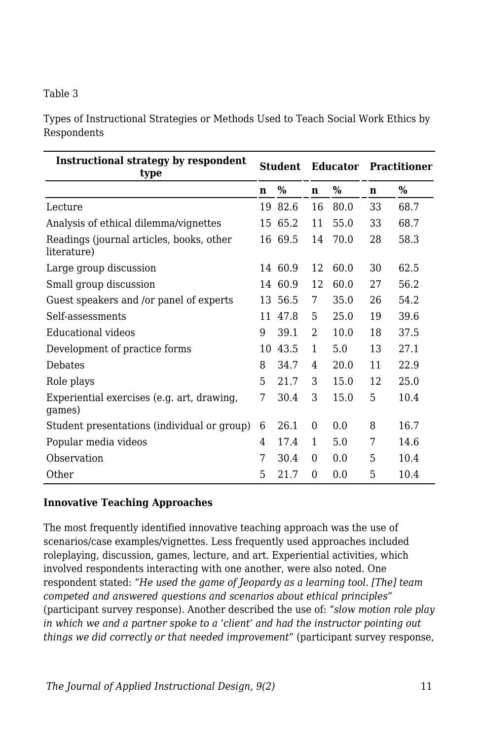#### Table 3

Types of Instructional Strategies or Methods Used to Teach Social Work Ethics by Respondents

| Instructional strategy by respondent<br>type            | <b>Student</b> |         |               |               | Educator Practitioner |      |
|---------------------------------------------------------|----------------|---------|---------------|---------------|-----------------------|------|
|                                                         | n              | $\%$    | $\mathbf n$   | $\frac{0}{0}$ | n                     | $\%$ |
| Lecture                                                 | 19             | 82.6    | 16            | 80.0          | 33                    | 68.7 |
| Analysis of ethical dilemma/vignettes                   | 15             | 65.2    | 11            | 55.0          | 33                    | 68.7 |
| Readings (journal articles, books, other<br>literature) |                | 16 69.5 | 14            | 70.0          | 28                    | 58.3 |
| Large group discussion                                  |                | 14 60.9 | 12            | 60.0          | 30                    | 62.5 |
| Small group discussion                                  |                | 14 60.9 | 12            | 60.0          | 27                    | 56.2 |
| Guest speakers and /or panel of experts                 |                | 13 56.5 | 7             | 35.0          | 26                    | 54.2 |
| Self-assessments                                        |                | 11 47.8 | 5             | 25.0          | 19                    | 39.6 |
| Educational videos                                      | 9              | 39.1    | $\mathcal{D}$ | 10.0          | 18                    | 37.5 |
| Development of practice forms                           | 10             | 43.5    | 1             | 5.0           | 13                    | 27.1 |
| <b>Debates</b>                                          | 8              | 34.7    | 4             | 20.0          | 11                    | 22.9 |
| Role plays                                              | 5              | 21.7    | 3             | 15.0          | 12                    | 25.0 |
| Experiential exercises (e.g. art, drawing,<br>games)    | 7              | 30.4    | 3             | 15.0          | 5                     | 10.4 |
| Student presentations (individual or group)             | 6              | 26.1    | $\theta$      | 0.0           | 8                     | 16.7 |
| Popular media videos                                    | 4              | 17.4    | 1             | 5.0           | 7                     | 14.6 |
| Observation                                             | 7              | 30.4    | $\Omega$      | 0.0           | 5                     | 10.4 |
| Other                                                   | 5              | 21.7    | $\Omega$      | 0.0           | 5                     | 10.4 |

#### **Innovative Teaching Approaches**

The most frequently identified innovative teaching approach was the use of scenarios/case examples/vignettes. Less frequently used approaches included roleplaying, discussion, games, lecture, and art. Experiential activities, which involved respondents interacting with one another, were also noted. One respondent stated: "*He used the game of Jeopardy as a learning tool. [The] team competed and answered questions and scenarios about ethical principles*" (participant survey response). Another described the use of: "*slow motion role play in which we and a partner spoke to a 'client' and had the instructor pointing out things we did correctly or that needed improvement*" (participant survey response,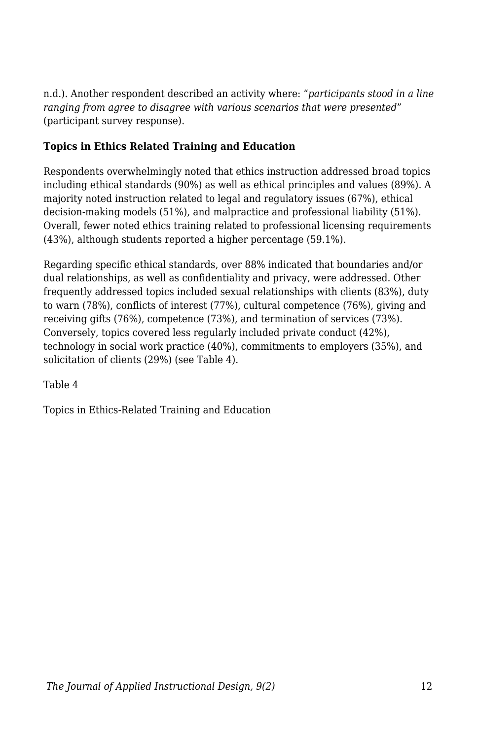n.d.). Another respondent described an activity where: "*participants stood in a line ranging from agree to disagree with various scenarios that were presented*" (participant survey response).

### **Topics in Ethics Related Training and Education**

Respondents overwhelmingly noted that ethics instruction addressed broad topics including ethical standards (90%) as well as ethical principles and values (89%). A majority noted instruction related to legal and regulatory issues (67%), ethical decision-making models (51%), and malpractice and professional liability (51%). Overall, fewer noted ethics training related to professional licensing requirements (43%), although students reported a higher percentage (59.1%).

Regarding specific ethical standards, over 88% indicated that boundaries and/or dual relationships, as well as confidentiality and privacy, were addressed. Other frequently addressed topics included sexual relationships with clients (83%), duty to warn (78%), conflicts of interest (77%), cultural competence (76%), giving and receiving gifts (76%), competence (73%), and termination of services (73%). Conversely, topics covered less regularly included private conduct (42%), technology in social work practice (40%), commitments to employers (35%), and solicitation of clients (29%) (see Table 4).

Table 4

Topics in Ethics-Related Training and Education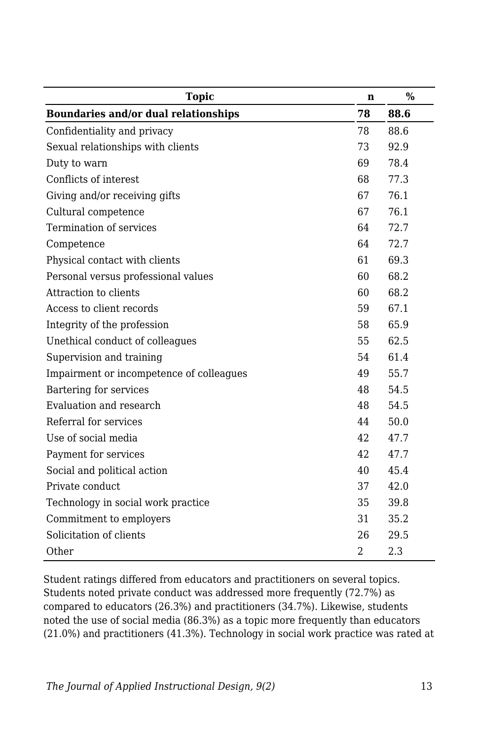| <b>Topic</b>                             | n   | $\frac{0}{0}$ |
|------------------------------------------|-----|---------------|
| Boundaries and/or dual relationships     | 78  | 88.6          |
| Confidentiality and privacy              | 78  | 88.6          |
| Sexual relationships with clients        | 73  | 92.9          |
| Duty to warn                             | 69  | 78.4          |
| Conflicts of interest                    | 68  | 77.3          |
| Giving and/or receiving gifts            | 67  | 76.1          |
| Cultural competence                      | 67  | 76.1          |
| Termination of services                  | 64  | 72.7          |
| Competence                               | 64  | 72.7          |
| Physical contact with clients            | 61  | 69.3          |
| Personal versus professional values      | 60  | 68.2          |
| Attraction to clients                    | 60  | 68.2          |
| Access to client records                 | 59  | 67.1          |
| Integrity of the profession              | 58  | 65.9          |
| Unethical conduct of colleagues          | 55  | 62.5          |
| Supervision and training                 | 54  | 61.4          |
| Impairment or incompetence of colleagues | 49  | 55.7          |
| Bartering for services                   | 48  | 54.5          |
| Evaluation and research                  | 48  | 54.5          |
| Referral for services                    | 44  | 50.0          |
| Use of social media                      | 42  | 47.7          |
| Payment for services                     | 42. | 47.7          |
| Social and political action              | 40  | 45.4          |
| Private conduct                          | 37  | 42.0          |
| Technology in social work practice       | 35  | 39.8          |
| Commitment to employers                  | 31  | 35.2          |
| Solicitation of clients                  | 26  | 29.5          |
| Other                                    | 2   | 2.3           |

Student ratings differed from educators and practitioners on several topics. Students noted private conduct was addressed more frequently (72.7%) as compared to educators (26.3%) and practitioners (34.7%). Likewise, students noted the use of social media (86.3%) as a topic more frequently than educators (21.0%) and practitioners (41.3%). Technology in social work practice was rated at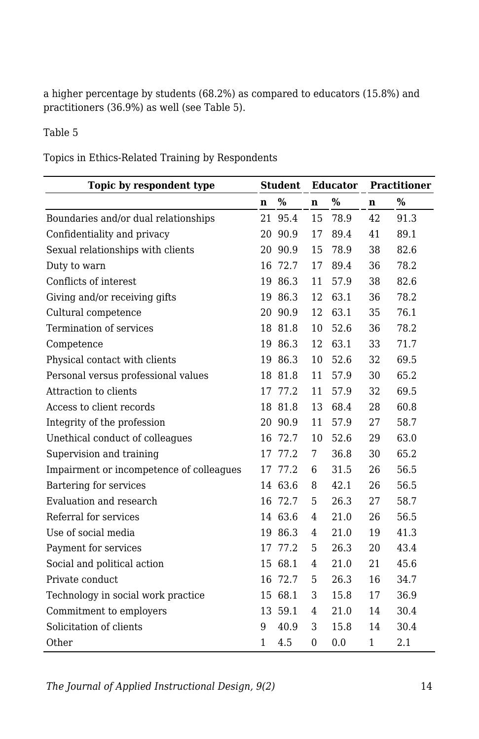a higher percentage by students (68.2%) as compared to educators (15.8%) and practitioners (36.9%) as well (see Table 5).

#### Table 5

Topics in Ethics-Related Training by Respondents

| Topic by respondent type                 | <b>Student</b> |         | Educator       |      | <b>Practitioner</b> |      |
|------------------------------------------|----------------|---------|----------------|------|---------------------|------|
|                                          | n              | %       | $\mathbf n$    | $\%$ | n                   | %    |
| Boundaries and/or dual relationships     | 21             | 95.4    | 15             | 78.9 | 42                  | 91.3 |
| Confidentiality and privacy              | 20             | 90.9    | 17             | 89.4 | 41                  | 89.1 |
| Sexual relationships with clients        |                | 20 90.9 | 15             | 78.9 | 38                  | 82.6 |
| Duty to warn                             | 16             | 72.7    | 17             | 89.4 | 36                  | 78.2 |
| Conflicts of interest                    | 19             | 86.3    | 11             | 57.9 | 38                  | 82.6 |
| Giving and/or receiving gifts            |                | 19 86.3 | 12             | 63.1 | 36                  | 78.2 |
| Cultural competence                      | 20             | 90.9    | 12             | 63.1 | 35                  | 76.1 |
| Termination of services                  |                | 18 81.8 | 10             | 52.6 | 36                  | 78.2 |
| Competence                               | 19             | 86.3    | 12             | 63.1 | 33                  | 71.7 |
| Physical contact with clients            | 19             | 86.3    | 10             | 52.6 | 32                  | 69.5 |
| Personal versus professional values      |                | 18 81.8 | 11             | 57.9 | 30                  | 65.2 |
| Attraction to clients                    | 17             | 77.2    | 11             | 57.9 | 32                  | 69.5 |
| Access to client records                 | 18             | 81.8    | 13             | 68.4 | 28                  | 60.8 |
| Integrity of the profession              | 20             | 90.9    | 11             | 57.9 | 27                  | 58.7 |
| Unethical conduct of colleagues          | 16             | 72.7    | 10             | 52.6 | 29                  | 63.0 |
| Supervision and training                 | 17             | 77.2    | 7              | 36.8 | 30                  | 65.2 |
| Impairment or incompetence of colleagues | 17             | 77.2    | 6              | 31.5 | 26                  | 56.5 |
| Bartering for services                   |                | 14 63.6 | 8              | 42.1 | 26                  | 56.5 |
| Evaluation and research                  |                | 16 72.7 | 5              | 26.3 | 27                  | 58.7 |
| Referral for services                    |                | 14 63.6 | 4              | 21.0 | 26                  | 56.5 |
| Use of social media                      |                | 19 86.3 | $\overline{4}$ | 21.0 | 19                  | 41.3 |
| Payment for services                     | 17             | 77.2    | 5              | 26.3 | 20                  | 43.4 |
| Social and political action              | 15             | 68.1    | $\overline{4}$ | 21.0 | 21                  | 45.6 |
| Private conduct                          | 16             | 72.7    | 5              | 26.3 | 16                  | 34.7 |
| Technology in social work practice       | 15             | 68.1    | 3              | 15.8 | 17                  | 36.9 |
| Commitment to employers                  |                | 13 59.1 | 4              | 21.0 | 14                  | 30.4 |
| Solicitation of clients                  | 9              | 40.9    | 3              | 15.8 | 14                  | 30.4 |
| Other                                    | $\mathbf{1}$   | 4.5     | $\Omega$       | 0.0  | 1                   | 2.1  |

*The Journal of Applied Instructional Design, 9(2)* 14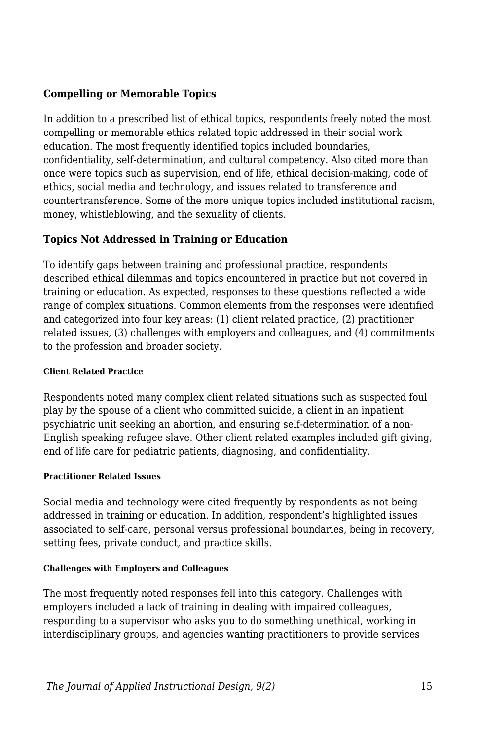#### **Compelling or Memorable Topics**

In addition to a prescribed list of ethical topics, respondents freely noted the most compelling or memorable ethics related topic addressed in their social work education. The most frequently identified topics included boundaries, confidentiality, self-determination, and cultural competency. Also cited more than once were topics such as supervision, end of life, ethical decision-making, code of ethics, social media and technology, and issues related to transference and countertransference. Some of the more unique topics included institutional racism, money, whistleblowing, and the sexuality of clients.

#### **Topics Not Addressed in Training or Education**

To identify gaps between training and professional practice, respondents described ethical dilemmas and topics encountered in practice but not covered in training or education. As expected, responses to these questions reflected a wide range of complex situations. Common elements from the responses were identified and categorized into four key areas: (1) client related practice, (2) practitioner related issues, (3) challenges with employers and colleagues, and (4) commitments to the profession and broader society.

#### **Client Related Practice**

Respondents noted many complex client related situations such as suspected foul play by the spouse of a client who committed suicide, a client in an inpatient psychiatric unit seeking an abortion, and ensuring self-determination of a non-English speaking refugee slave. Other client related examples included gift giving, end of life care for pediatric patients, diagnosing, and confidentiality.

#### **Practitioner Related Issues**

Social media and technology were cited frequently by respondents as not being addressed in training or education. In addition, respondent's highlighted issues associated to self-care, personal versus professional boundaries, being in recovery, setting fees, private conduct, and practice skills.

#### **Challenges with Employers and Colleagues**

The most frequently noted responses fell into this category. Challenges with employers included a lack of training in dealing with impaired colleagues, responding to a supervisor who asks you to do something unethical, working in interdisciplinary groups, and agencies wanting practitioners to provide services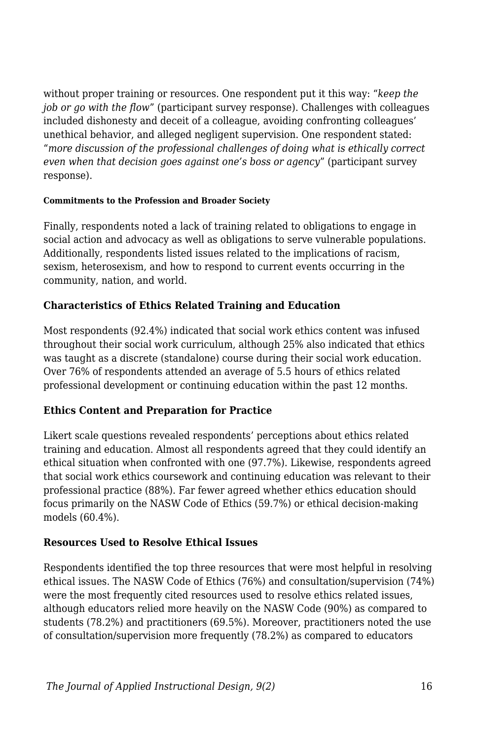without proper training or resources. One respondent put it this way: "*keep the job or go with the flow*" (participant survey response). Challenges with colleagues included dishonesty and deceit of a colleague, avoiding confronting colleagues' unethical behavior, and alleged negligent supervision. One respondent stated: "*more discussion of the professional challenges of doing what is ethically correct even when that decision goes against one's boss or agency*" (participant survey response).

#### **Commitments to the Profession and Broader Society**

Finally, respondents noted a lack of training related to obligations to engage in social action and advocacy as well as obligations to serve vulnerable populations. Additionally, respondents listed issues related to the implications of racism, sexism, heterosexism, and how to respond to current events occurring in the community, nation, and world.

#### **Characteristics of Ethics Related Training and Education**

Most respondents (92.4%) indicated that social work ethics content was infused throughout their social work curriculum, although 25% also indicated that ethics was taught as a discrete (standalone) course during their social work education. Over 76% of respondents attended an average of 5.5 hours of ethics related professional development or continuing education within the past 12 months.

#### **Ethics Content and Preparation for Practice**

Likert scale questions revealed respondents' perceptions about ethics related training and education. Almost all respondents agreed that they could identify an ethical situation when confronted with one (97.7%). Likewise, respondents agreed that social work ethics coursework and continuing education was relevant to their professional practice (88%). Far fewer agreed whether ethics education should focus primarily on the NASW Code of Ethics (59.7%) or ethical decision-making models (60.4%).

#### **Resources Used to Resolve Ethical Issues**

Respondents identified the top three resources that were most helpful in resolving ethical issues. The NASW Code of Ethics (76%) and consultation/supervision (74%) were the most frequently cited resources used to resolve ethics related issues, although educators relied more heavily on the NASW Code (90%) as compared to students (78.2%) and practitioners (69.5%). Moreover, practitioners noted the use of consultation/supervision more frequently (78.2%) as compared to educators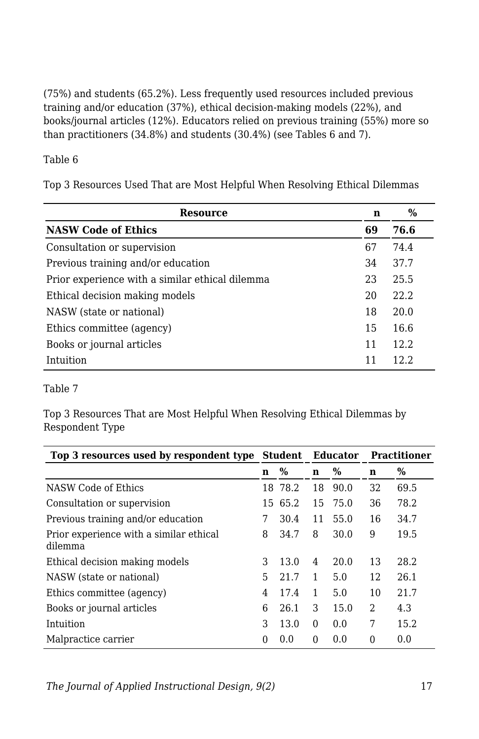(75%) and students (65.2%). Less frequently used resources included previous training and/or education (37%), ethical decision-making models (22%), and books/journal articles (12%). Educators relied on previous training (55%) more so than practitioners (34.8%) and students (30.4%) (see Tables 6 and 7).

Table 6

Top 3 Resources Used That are Most Helpful When Resolving Ethical Dilemmas

| <b>Resource</b>                                 | n  | $\%$  |
|-------------------------------------------------|----|-------|
| <b>NASW Code of Ethics</b>                      | 69 | 76.6  |
| Consultation or supervision                     | 67 | 74.4  |
| Previous training and/or education              | 34 | 37.7  |
| Prior experience with a similar ethical dilemma | 23 | 25.5  |
| Ethical decision making models                  | 20 | 22.2. |
| NASW (state or national)                        | 18 | 20.0  |
| Ethics committee (agency)                       | 15 | 16.6  |
| Books or journal articles                       | 11 | 12.2. |
| Intuition                                       | 11 | 12.2. |

#### Table 7

Top 3 Resources That are Most Helpful When Resolving Ethical Dilemmas by Respondent Type

| Top 3 resources used by respondent type Student Educator |   |         |          |      |    | <b>Practitioner</b> |  |
|----------------------------------------------------------|---|---------|----------|------|----|---------------------|--|
|                                                          | n | $\%$    | n        | %    | n  | %                   |  |
| NASW Code of Ethics                                      |   | 18 78.2 | 18       | 90.0 | 32 | 69.5                |  |
| Consultation or supervision                              |   | 15 65.2 | 15       | 75.0 | 36 | 78.2                |  |
| Previous training and/or education                       | 7 | 30.4    | 11       | 55.0 | 16 | 34.7                |  |
| Prior experience with a similar ethical<br>dilemma       | 8 | 34.7    | 8        | 30.0 | 9  | 19.5                |  |
| Ethical decision making models                           | 3 | 13.0    | 4        | 20.0 | 13 | 28.2                |  |
| NASW (state or national)                                 | 5 | 21.7    | 1        | 5.0  | 12 | 26.1                |  |
| Ethics committee (agency)                                | 4 | 17.4    | 1        | 5.0  | 10 | 21.7                |  |
| Books or journal articles                                | 6 | 26.1    | 3        | 15.0 | 2  | 4.3                 |  |
| Intuition                                                | 3 | 13.0    | $\Omega$ | 0.0  | 7  | 15.2                |  |
| Malpractice carrier                                      | 0 | 0.0     | $\Omega$ | 0.0  | 0  | 0.0                 |  |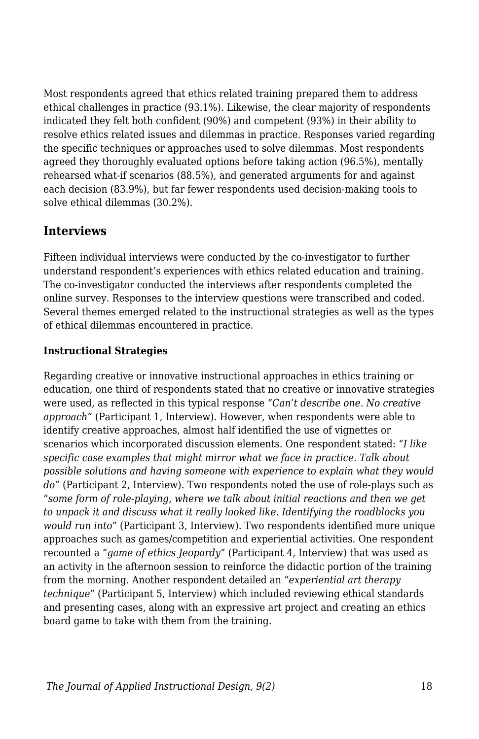Most respondents agreed that ethics related training prepared them to address ethical challenges in practice (93.1%). Likewise, the clear majority of respondents indicated they felt both confident (90%) and competent (93%) in their ability to resolve ethics related issues and dilemmas in practice. Responses varied regarding the specific techniques or approaches used to solve dilemmas. Most respondents agreed they thoroughly evaluated options before taking action (96.5%), mentally rehearsed what-if scenarios (88.5%), and generated arguments for and against each decision (83.9%), but far fewer respondents used decision-making tools to solve ethical dilemmas (30.2%).

### **Interviews**

Fifteen individual interviews were conducted by the co-investigator to further understand respondent's experiences with ethics related education and training. The co-investigator conducted the interviews after respondents completed the online survey. Responses to the interview questions were transcribed and coded. Several themes emerged related to the instructional strategies as well as the types of ethical dilemmas encountered in practice.

### **Instructional Strategies**

Regarding creative or innovative instructional approaches in ethics training or education, one third of respondents stated that no creative or innovative strategies were used, as reflected in this typical response "*Can't describe one. No creative approach"* (Participant 1, Interview). However, when respondents were able to identify creative approaches, almost half identified the use of vignettes or scenarios which incorporated discussion elements. One respondent stated: "*I like specific case examples that might mirror what we face in practice. Talk about possible solutions and having someone with experience to explain what they would do"* (Participant 2, Interview). Two respondents noted the use of role-plays such as "*some form of role-playing, where we talk about initial reactions and then we get to unpack it and discuss what it really looked like. Identifying the roadblocks you would run into*" (Participant 3, Interview). Two respondents identified more unique approaches such as games/competition and experiential activities. One respondent recounted a "*game of ethics Jeopardy*" (Participant 4, Interview) that was used as an activity in the afternoon session to reinforce the didactic portion of the training from the morning. Another respondent detailed an "*experiential art therapy technique*" (Participant 5, Interview) which included reviewing ethical standards and presenting cases, along with an expressive art project and creating an ethics board game to take with them from the training.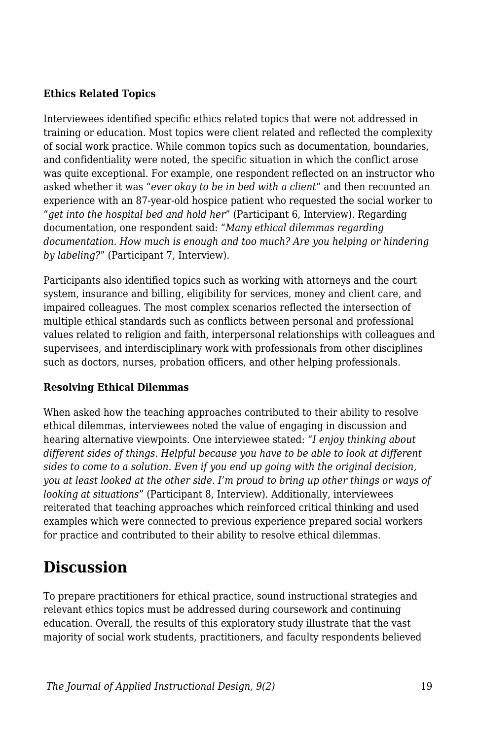#### **Ethics Related Topics**

Interviewees identified specific ethics related topics that were not addressed in training or education. Most topics were client related and reflected the complexity of social work practice. While common topics such as documentation, boundaries, and confidentiality were noted, the specific situation in which the conflict arose was quite exceptional. For example, one respondent reflected on an instructor who asked whether it was "*ever okay to be in bed with a client*" and then recounted an experience with an 87-year-old hospice patient who requested the social worker to "*get into the hospital bed and hold her*" (Participant 6, Interview). Regarding documentation, one respondent said: "*Many ethical dilemmas regarding documentation. How much is enough and too much? Are you helping or hindering by labeling?*" (Participant 7, Interview).

Participants also identified topics such as working with attorneys and the court system, insurance and billing, eligibility for services, money and client care, and impaired colleagues. The most complex scenarios reflected the intersection of multiple ethical standards such as conflicts between personal and professional values related to religion and faith, interpersonal relationships with colleagues and supervisees, and interdisciplinary work with professionals from other disciplines such as doctors, nurses, probation officers, and other helping professionals.

#### **Resolving Ethical Dilemmas**

When asked how the teaching approaches contributed to their ability to resolve ethical dilemmas, interviewees noted the value of engaging in discussion and hearing alternative viewpoints. One interviewee stated: "*I enjoy thinking about different sides of things. Helpful because you have to be able to look at different sides to come to a solution. Even if you end up going with the original decision, you at least looked at the other side. I'm proud to bring up other things or ways of looking at situations*" (Participant 8, Interview). Additionally, interviewees reiterated that teaching approaches which reinforced critical thinking and used examples which were connected to previous experience prepared social workers for practice and contributed to their ability to resolve ethical dilemmas.

## **Discussion**

To prepare practitioners for ethical practice, sound instructional strategies and relevant ethics topics must be addressed during coursework and continuing education. Overall, the results of this exploratory study illustrate that the vast majority of social work students, practitioners, and faculty respondents believed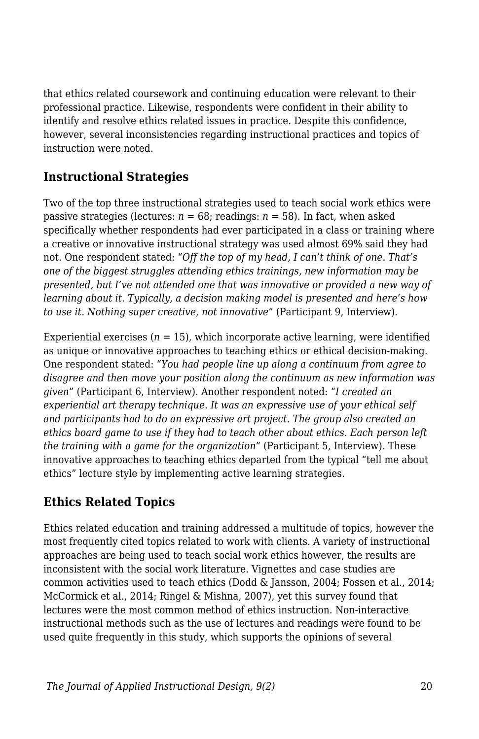that ethics related coursework and continuing education were relevant to their professional practice. Likewise, respondents were confident in their ability to identify and resolve ethics related issues in practice. Despite this confidence, however, several inconsistencies regarding instructional practices and topics of instruction were noted.

### **Instructional Strategies**

Two of the top three instructional strategies used to teach social work ethics were passive strategies (lectures:  $n = 68$ ; readings:  $n = 58$ ). In fact, when asked specifically whether respondents had ever participated in a class or training where a creative or innovative instructional strategy was used almost 69% said they had not. One respondent stated: "*Off the top of my head, I can't think of one. That's one of the biggest struggles attending ethics trainings, new information may be presented, but I've not attended one that was innovative or provided a new way of learning about it. Typically, a decision making model is presented and here's how to use it. Nothing super creative, not innovative*" (Participant 9, Interview).

Experiential exercises  $(n = 15)$ , which incorporate active learning, were identified as unique or innovative approaches to teaching ethics or ethical decision-making. One respondent stated: "*You had people line up along a continuum from agree to disagree and then move your position along the continuum as new information was given*" (Participant 6, Interview). Another respondent noted: "*I created an experiential art therapy technique. It was an expressive use of your ethical self and participants had to do an expressive art project. The group also created an ethics board game to use if they had to teach other about ethics. Each person left the training with a game for the organization*" (Participant 5, Interview). These innovative approaches to teaching ethics departed from the typical "tell me about ethics" lecture style by implementing active learning strategies.

### **Ethics Related Topics**

Ethics related education and training addressed a multitude of topics, however the most frequently cited topics related to work with clients. A variety of instructional approaches are being used to teach social work ethics however, the results are inconsistent with the social work literature. Vignettes and case studies are common activities used to teach ethics (Dodd & Jansson, 2004; Fossen et al., 2014; McCormick et al., 2014; Ringel & Mishna, 2007), yet this survey found that lectures were the most common method of ethics instruction. Non-interactive instructional methods such as the use of lectures and readings were found to be used quite frequently in this study, which supports the opinions of several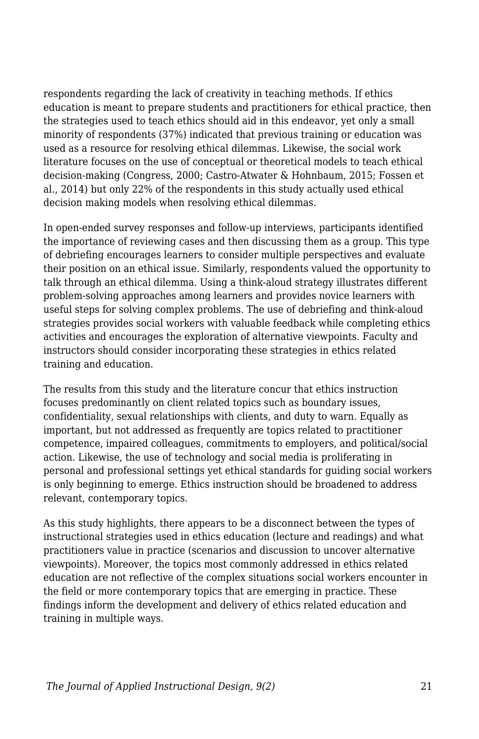respondents regarding the lack of creativity in teaching methods. If ethics education is meant to prepare students and practitioners for ethical practice, then the strategies used to teach ethics should aid in this endeavor, yet only a small minority of respondents (37%) indicated that previous training or education was used as a resource for resolving ethical dilemmas. Likewise, the social work literature focuses on the use of conceptual or theoretical models to teach ethical decision-making (Congress, 2000; Castro-Atwater & Hohnbaum, 2015; Fossen et al., 2014) but only 22% of the respondents in this study actually used ethical decision making models when resolving ethical dilemmas.

In open-ended survey responses and follow-up interviews, participants identified the importance of reviewing cases and then discussing them as a group. This type of debriefing encourages learners to consider multiple perspectives and evaluate their position on an ethical issue. Similarly, respondents valued the opportunity to talk through an ethical dilemma. Using a think-aloud strategy illustrates different problem-solving approaches among learners and provides novice learners with useful steps for solving complex problems. The use of debriefing and think-aloud strategies provides social workers with valuable feedback while completing ethics activities and encourages the exploration of alternative viewpoints. Faculty and instructors should consider incorporating these strategies in ethics related training and education.

The results from this study and the literature concur that ethics instruction focuses predominantly on client related topics such as boundary issues, confidentiality, sexual relationships with clients, and duty to warn. Equally as important, but not addressed as frequently are topics related to practitioner competence, impaired colleagues, commitments to employers, and political/social action. Likewise, the use of technology and social media is proliferating in personal and professional settings yet ethical standards for guiding social workers is only beginning to emerge. Ethics instruction should be broadened to address relevant, contemporary topics.

As this study highlights, there appears to be a disconnect between the types of instructional strategies used in ethics education (lecture and readings) and what practitioners value in practice (scenarios and discussion to uncover alternative viewpoints). Moreover, the topics most commonly addressed in ethics related education are not reflective of the complex situations social workers encounter in the field or more contemporary topics that are emerging in practice. These findings inform the development and delivery of ethics related education and training in multiple ways.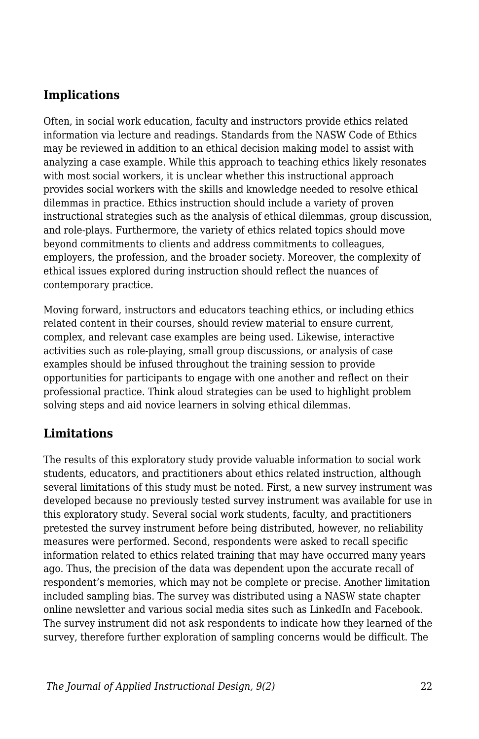### **Implications**

Often, in social work education, faculty and instructors provide ethics related information via lecture and readings. Standards from the NASW Code of Ethics may be reviewed in addition to an ethical decision making model to assist with analyzing a case example. While this approach to teaching ethics likely resonates with most social workers, it is unclear whether this instructional approach provides social workers with the skills and knowledge needed to resolve ethical dilemmas in practice. Ethics instruction should include a variety of proven instructional strategies such as the analysis of ethical dilemmas, group discussion, and role-plays. Furthermore, the variety of ethics related topics should move beyond commitments to clients and address commitments to colleagues, employers, the profession, and the broader society. Moreover, the complexity of ethical issues explored during instruction should reflect the nuances of contemporary practice.

Moving forward, instructors and educators teaching ethics, or including ethics related content in their courses, should review material to ensure current, complex, and relevant case examples are being used. Likewise, interactive activities such as role-playing, small group discussions, or analysis of case examples should be infused throughout the training session to provide opportunities for participants to engage with one another and reflect on their professional practice. Think aloud strategies can be used to highlight problem solving steps and aid novice learners in solving ethical dilemmas.

### **Limitations**

The results of this exploratory study provide valuable information to social work students, educators, and practitioners about ethics related instruction, although several limitations of this study must be noted. First, a new survey instrument was developed because no previously tested survey instrument was available for use in this exploratory study. Several social work students, faculty, and practitioners pretested the survey instrument before being distributed, however, no reliability measures were performed. Second, respondents were asked to recall specific information related to ethics related training that may have occurred many years ago. Thus, the precision of the data was dependent upon the accurate recall of respondent's memories, which may not be complete or precise. Another limitation included sampling bias. The survey was distributed using a NASW state chapter online newsletter and various social media sites such as LinkedIn and Facebook. The survey instrument did not ask respondents to indicate how they learned of the survey, therefore further exploration of sampling concerns would be difficult. The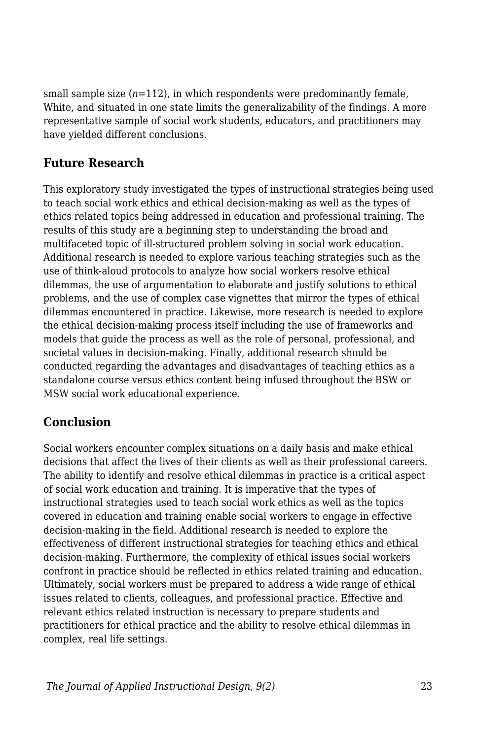small sample size  $(n=112)$ , in which respondents were predominantly female. White, and situated in one state limits the generalizability of the findings. A more representative sample of social work students, educators, and practitioners may have yielded different conclusions.

### **Future Research**

This exploratory study investigated the types of instructional strategies being used to teach social work ethics and ethical decision-making as well as the types of ethics related topics being addressed in education and professional training. The results of this study are a beginning step to understanding the broad and multifaceted topic of ill-structured problem solving in social work education. Additional research is needed to explore various teaching strategies such as the use of think-aloud protocols to analyze how social workers resolve ethical dilemmas, the use of argumentation to elaborate and justify solutions to ethical problems, and the use of complex case vignettes that mirror the types of ethical dilemmas encountered in practice. Likewise, more research is needed to explore the ethical decision-making process itself including the use of frameworks and models that guide the process as well as the role of personal, professional, and societal values in decision-making. Finally, additional research should be conducted regarding the advantages and disadvantages of teaching ethics as a standalone course versus ethics content being infused throughout the BSW or MSW social work educational experience.

### **Conclusion**

Social workers encounter complex situations on a daily basis and make ethical decisions that affect the lives of their clients as well as their professional careers. The ability to identify and resolve ethical dilemmas in practice is a critical aspect of social work education and training. It is imperative that the types of instructional strategies used to teach social work ethics as well as the topics covered in education and training enable social workers to engage in effective decision-making in the field. Additional research is needed to explore the effectiveness of different instructional strategies for teaching ethics and ethical decision-making. Furthermore, the complexity of ethical issues social workers confront in practice should be reflected in ethics related training and education. Ultimately, social workers must be prepared to address a wide range of ethical issues related to clients, colleagues, and professional practice. Effective and relevant ethics related instruction is necessary to prepare students and practitioners for ethical practice and the ability to resolve ethical dilemmas in complex, real life settings.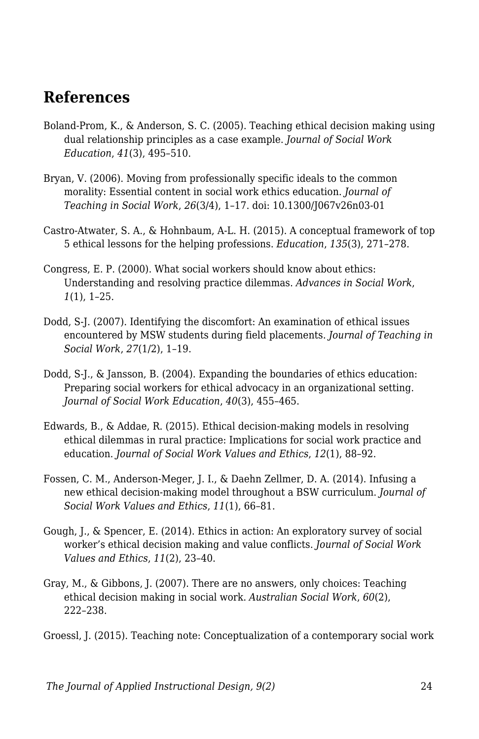## **References**

- Boland-Prom, K., & Anderson, S. C. (2005). Teaching ethical decision making using dual relationship principles as a case example. *Journal of Social Work Education*, *41*(3), 495–510.
- Bryan, V. (2006). Moving from professionally specific ideals to the common morality: Essential content in social work ethics education. *Journal of Teaching in Social Work*, *26*(3/4), 1–17. doi: 10.1300/J067v26n03-01
- Castro-Atwater, S. A., & Hohnbaum, A-L. H. (2015). A conceptual framework of top 5 ethical lessons for the helping professions. *Education*, *135*(3), 271–278.
- Congress, E. P. (2000). What social workers should know about ethics: Understanding and resolving practice dilemmas. *Advances in Social Work*, *1*(1), 1–25.
- Dodd, S-J. (2007). Identifying the discomfort: An examination of ethical issues encountered by MSW students during field placements. *Journal of Teaching in Social Work*, *27*(1/2), 1–19.
- Dodd, S-J., & Jansson, B. (2004). Expanding the boundaries of ethics education: Preparing social workers for ethical advocacy in an organizational setting. *Journal of Social Work Education*, *40*(3), 455–465.
- Edwards, B., & Addae, R. (2015). Ethical decision-making models in resolving ethical dilemmas in rural practice: Implications for social work practice and education. *Journal of Social Work Values and Ethics*, *12*(1), 88–92.
- Fossen, C. M., Anderson-Meger, J. I., & Daehn Zellmer, D. A. (2014). Infusing a new ethical decision-making model throughout a BSW curriculum. *Journal of Social Work Values and Ethics*, *11*(1), 66–81.
- Gough, J., & Spencer, E. (2014). Ethics in action: An exploratory survey of social worker's ethical decision making and value conflicts. *Journal of Social Work Values and Ethics*, *11*(2), 23–40.
- Gray, M., & Gibbons, J. (2007). There are no answers, only choices: Teaching ethical decision making in social work. *Australian Social Work*, *60*(2), 222–238.

Groessl, J. (2015). Teaching note: Conceptualization of a contemporary social work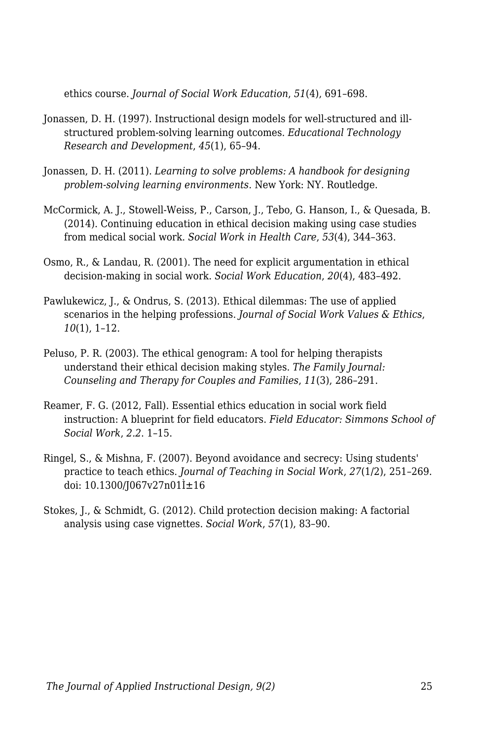ethics course. *Journal of Social Work Education*, *51*(4), 691–698.

- Jonassen, D. H. (1997). Instructional design models for well-structured and illstructured problem-solving learning outcomes. *Educational Technology Research and Development*, *45*(1), 65–94.
- Jonassen, D. H. (2011). *Learning to solve problems: A handbook for designing problem-solving learning environments*. New York: NY. Routledge.
- McCormick, A. J., Stowell-Weiss, P., Carson, J., Tebo, G. Hanson, I., & Quesada, B. (2014). Continuing education in ethical decision making using case studies from medical social work. *Social Work in Health Care*, *53*(4), 344–363.
- Osmo, R., & Landau, R. (2001). The need for explicit argumentation in ethical decision-making in social work. *Social Work Education*, *20*(4), 483–492.
- Pawlukewicz, J., & Ondrus, S. (2013). Ethical dilemmas: The use of applied scenarios in the helping professions. *Journal of Social Work Values & Ethics*, *10*(1), 1–12.
- Peluso, P. R. (2003). The ethical genogram: A tool for helping therapists understand their ethical decision making styles. *The Family Journal: Counseling and Therapy for Couples and Families*, *11*(3), 286–291.
- Reamer, F. G. (2012, Fall). Essential ethics education in social work field instruction: A blueprint for field educators. *Field Educator: Simmons School of Social Work*, *2.2*. 1–15.
- Ringel, S., & Mishna, F. (2007). Beyond avoidance and secrecy: Using students' practice to teach ethics. *Journal of Teaching in Social Work*, *27*(1/2), 251–269. doi:  $10.1300/[067v27n01] \pm 16$
- Stokes, J., & Schmidt, G. (2012). Child protection decision making: A factorial analysis using case vignettes. *Social Work*, *57*(1), 83–90.